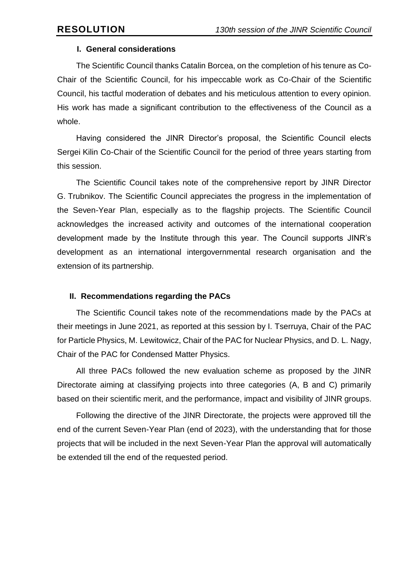#### **I. General considerations**

The Scientific Council thanks Catalin Borcea, on the completion of his tenure as Co-Chair of the Scientific Council, for his impeccable work as Co-Chair of the Scientific Council, his tactful moderation of debates and his meticulous attention to every opinion. His work has made a significant contribution to the effectiveness of the Council as a whole.

Having considered the JINR Director's proposal, the Scientific Council elects Sergei Kilin Co-Chair of the Scientific Council for the period of three years starting from this session.

The Scientific Council takes note of the comprehensive report by JINR Director G. Trubnikov. The Scientific Council appreciates the progress in the implementation of the Seven-Year Plan, especially as to the flagship projects. The Scientific Council acknowledges the increased activity and outcomes of the international cooperation development made by the Institute through this year. The Council supports JINR's development as an international intergovernmental research organisation and the extension of its partnership.

## **II. Recommendations regarding the PACs**

The Scientific Council takes note of the recommendations made by the PACs at their meetings in June 2021, as reported at this session by I. Tserruya, Chair of the PAC for Particle Physics, M. Lewitowicz, Chair of the PAC for Nuclear Physics, and D. L. Nagy, Chair of the PAC for Condensed Matter Physics.

All three PACs followed the new evaluation scheme as proposed by the JINR Directorate aiming at classifying projects into three categories (A, B and C) primarily based on their scientific merit, and the performance, impact and visibility of JINR groups.

Following the directive of the JINR Directorate, the projects were approved till the end of the current Seven-Year Plan (end of 2023), with the understanding that for those projects that will be included in the next Seven-Year Plan the approval will automatically be extended till the end of the requested period.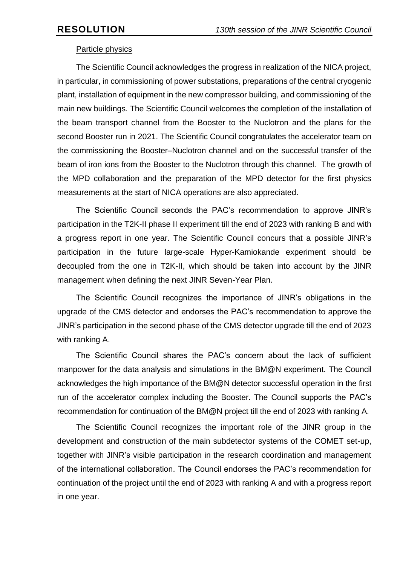# Particle physics

The Scientific Council acknowledges the progress in realization of the NICA project, in particular, in commissioning of power substations, preparations of the central cryogenic plant, installation of equipment in the new compressor building, and commissioning of the main new buildings. The Scientific Council welcomes the completion of the installation of the beam transport channel from the Booster to the Nuclotron and the plans for the second Booster run in 2021. The Scientific Council congratulates the accelerator team on the commissioning the Booster–Nuclotron channel and on the successful transfer of the beam of iron ions from the Booster to the Nuclotron through this channel. The growth of the MPD collaboration and the preparation of the MPD detector for the first physics measurements at the start of NICA operations are also appreciated.

The Scientific Council seconds the PAC's recommendation to approve JINR's participation in the T2K-II phase II experiment till the end of 2023 with ranking B and with a progress report in one year. The Scientific Council concurs that a possible JINR's participation in the future large-scale Hyper-Kamiokande experiment should be decoupled from the one in T2K-II, which should be taken into account by the JINR management when defining the next JINR Seven-Year Plan.

The Scientific Council recognizes the importance of JINR's obligations in the upgrade of the CMS detector and endorses the PAC's recommendation to approve the JINR's participation in the second phase of the CMS detector upgrade till the end of 2023 with ranking A.

The Scientific Council shares the PAC's concern about the lack of sufficient manpower for the data analysis and simulations in the BM@N experiment. The Council acknowledges the high importance of the BM@N detector successful operation in the first run of the accelerator complex including the Booster. The Council supports the PAC's recommendation for continuation of the BM@N project till the end of 2023 with ranking A.

The Scientific Council recognizes the important role of the JINR group in the development and construction of the main subdetector systems of the COMET set-up, together with JINR's visible participation in the research coordination and management of the international collaboration. The Council endorses the PAC's recommendation for continuation of the project until the end of 2023 with ranking A and with a progress report in one year.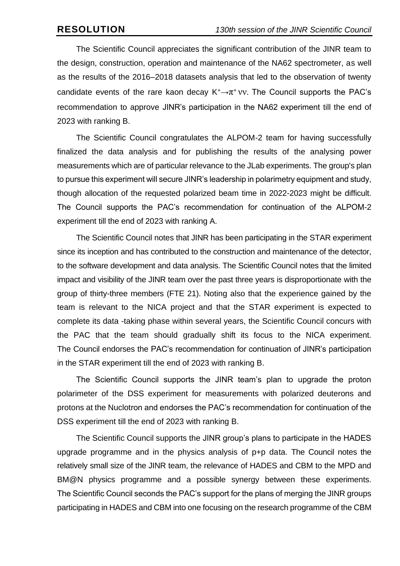The Scientific Council appreciates the significant contribution of the JINR team to the design, construction, operation and maintenance of the NA62 spectrometer, as well as the results of the 2016–2018 datasets analysis that led to the observation of twenty candidate events of the rare kaon decay  $K^+\rightarrow \pi^+ \nu\nu$ . The Council supports the PAC's recommendation to approve JINR's participation in the NA62 experiment till the end of 2023 with ranking B.

The Scientific Council congratulates the ALPOM-2 team for having successfully finalized the data analysis and for publishing the results of the analysing power measurements which are of particular relevance to the JLab experiments. The group's plan to pursue this experiment will secure JINR's leadership in polarimetry equipment and study, though allocation of the requested polarized beam time in 2022-2023 might be difficult. The Council supports the PAC's recommendation for continuation of the ALPOM-2 experiment till the end of 2023 with ranking A.

The Scientific Council notes that JINR has been participating in the STAR experiment since its inception and has contributed to the construction and maintenance of the detector, to the software development and data analysis. The Scientific Council notes that the limited impact and visibility of the JINR team over the past three years is disproportionate with the group of thirty-three members (FTE 21). Noting also that the experience gained by the team is relevant to the NICA project and that the STAR experiment is expected to complete its data -taking phase within several years, the Scientific Council concurs with the PAC that the team should gradually shift its focus to the NICA experiment. The Council endorses the PAC's recommendation for continuation of JINR's participation in the STAR experiment till the end of 2023 with ranking B.

The Scientific Council supports the JINR team's plan to upgrade the proton polarimeter of the DSS experiment for measurements with polarized deuterons and protons at the Nuclotron and endorses the PAC's recommendation for continuation of the DSS experiment till the end of 2023 with ranking B.

The Scientific Council supports the JINR group's plans to participate in the HADES upgrade programme and in the physics analysis of p+p data. The Council notes the relatively small size of the JINR team, the relevance of HADES and CBM to the MPD and BM@N physics programme and a possible synergy between these experiments. The Scientific Council seconds the PAC's support for the plans of merging the JINR groups participating in HADES and CBM into one focusing on the research programme of the CBM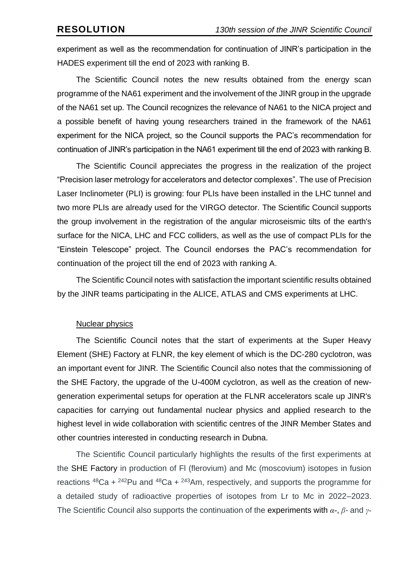experiment as well as the recommendation for continuation of JINR's participation in the HADES experiment till the end of 2023 with ranking B.

The Scientific Council notes the new results obtained from the energy scan programme of the NA61 experiment and the involvement of the JINR group in the upgrade of the NA61 set up. The Council recognizes the relevance of NA61 to the NICA project and a possible benefit of having young researchers trained in the framework of the NA61 experiment for the NICA project, so the Council supports the PAC's recommendation for continuation of JINR's participation in the NA61 experiment till the end of 2023 with ranking B.

The Scientific Council appreciates the progress in the realization of the project "Precision laser metrology for accelerators and detector complexes". The use of Precision Laser Inclinometer (PLI) is growing: four PLIs have been installed in the LHC tunnel and two more PLIs are already used for the VIRGO detector. The Scientific Council supports the group involvement in the registration of the angular microseismic tilts of the earth's surface for the NICA, LHC and FCC colliders, as well as the use of compact PLIs for the "Einstein Telescope" project. The Council endorses the PAC's recommendation for continuation of the project till the end of 2023 with ranking A.

The Scientific Council notes with satisfaction the important scientific results obtained by the JINR teams participating in the ALICE, ATLAS and CMS experiments at LHC.

#### Nuclear physics

The Scientific Council notes that the start of experiments at the Super Heavy Element (SHE) Factory at FLNR, the key element of which is the DC-280 cyclotron, was an important event for JINR. The Scientific Council also notes that the commissioning of the SHE Factory, the upgrade of the U-400M cyclotron, as well as the creation of newgeneration experimental setups for operation at the FLNR accelerators scale up JINR's capacities for carrying out fundamental nuclear physics and applied research to the highest level in wide collaboration with scientific centres of the JINR Member States and other countries interested in conducting research in Dubna.

The Scientific Council particularly highlights the results of the first experiments at the SHE Factory in production of Fl (flerovium) and Mc (moscovium) isotopes in fusion reactions  $48$ Ca +  $242$ Pu and  $48$ Ca +  $243$ Am, respectively, and supports the programme for a detailed study of radioactive properties of isotopes from Lr to Mc in 2022–2023. The Scientific Council also supports the continuation of the experiments with *α-*, *β-* and *γ-*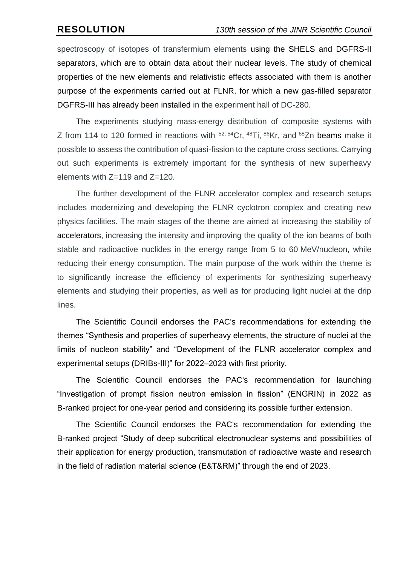spectroscopy of isotopes of transfermium elements using the SHELS and DGFRS-II separators, which are to obtain data about their nuclear levels. The study of chemical properties of the new elements and relativistic effects associated with them is another purpose of the experiments carried out at FLNR, for which a new gas-filled separator DGFRS-III has already been installed in the experiment hall of DC-280.

The experiments studying mass-energy distribution of composite systems with Z from 114 to 120 formed in reactions with <sup>52, 54</sup>Cr, <sup>48</sup>Ti, <sup>86</sup>Kr, and <sup>68</sup>Zn beams make it possible to assess the contribution of quasi-fission to the capture cross sections. Carrying out such experiments is extremely important for the synthesis of new superheavy elements with Z=119 and Z=120.

The further development of the FLNR accelerator complex and research setups includes modernizing and developing the FLNR cyclotron complex and creating new physics facilities. The main stages of the theme are aimed at increasing the stability of accelerators, increasing the intensity and improving the quality of the ion beams of both stable and radioactive nuclides in the energy range from 5 to 60 MeV/nucleon, while reducing their energy consumption. The main purpose of the work within the theme is to significantly increase the efficiency of experiments for synthesizing superheavy elements and studying their properties, as well as for producing light nuclei at the drip lines.

The Scientific Council endorses the PAC's recommendations for extending the themes "Synthesis and properties of superheavy elements, the structure of nuclei at the limits of nucleon stability" and "Development of the FLNR accelerator complex and experimental setups (DRIBs-III)" for 2022–2023 with first priority.

The Scientific Council endorses the PAC's recommendation for launching "Investigation of prompt fission neutron emission in fission" (ENGRIN) in 2022 as B-ranked project for one-year period and considering its possible further extension.

The Scientific Council endorses the PAC's recommendation for extending the B-ranked project "Study of deep subcritical electronuclear systems and possibilities of their application for energy production, transmutation of radioactive waste and research in the field of radiation material science (E&T&RM)" through the end of 2023.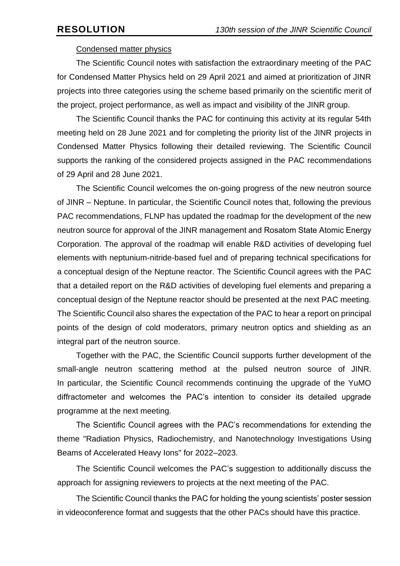## Condensed matter physics

The Scientific Council notes with satisfaction the extraordinary meeting of the PAC for Condensed Matter Physics held on 29 April 2021 and aimed at prioritization of JINR projects into three categories using the scheme based primarily on the scientific merit of the project, project performance, as well as impact and visibility of the JINR group.

The Scientific Council thanks the PAC for continuing this activity at its regular 54th meeting held on 28 June 2021 and for completing the priority list of the JINR projects in Condensed Matter Physics following their detailed reviewing. The Scientific Council supports the ranking of the considered projects assigned in the PAC recommendations of 29 April and 28 June 2021.

The Scientific Council welcomes the on-going progress of the new neutron source of JINR – Neptune. In particular, the Scientific Council notes that, following the previous PAC recommendations, FLNP has updated the roadmap for the development of the new neutron source for approval of the JINR management and Rosatom State Atomiс Energy Corporation. The approval of the roadmap will enable R&D activities of developing fuel elements with neptunium-nitride-based fuel and of preparing technical specifications for a conceptual design of the Neptune reactor. The Scientific Council agrees with the PAC that a detailed report on the R&D activities of developing fuel elements and preparing a conceptual design of the Neptune reactor should be presented at the next PAC meeting. The Scientific Council also shares the expectation of the PAC to hear a report on principal points of the design of cold moderators, primary neutron optics and shielding as an integral part of the neutron source.

Together with the PAC, the Scientific Council supports further development of the small-angle neutron scattering method at the pulsed neutron source of JINR. In particular, the Scientific Council recommends continuing the upgrade of the YuMO diffractometer and welcomes the PAC's intention to consider its detailed upgrade programme at the next meeting.

The Scientific Council agrees with the PAC's recommendations for extending the theme "Radiation Physics, Radiochemistry, and Nanotechnology Investigations Using Beams of Accelerated Heavy Ions" for 2022–2023.

The Scientific Council welcomes the PAC's suggestion to additionally discuss the approach for assigning reviewers to projects at the next meeting of the PAC.

The Scientific Council thanks the PAC for holding the young scientists' poster session in videoconference format and suggests that the other PACs should have this practice.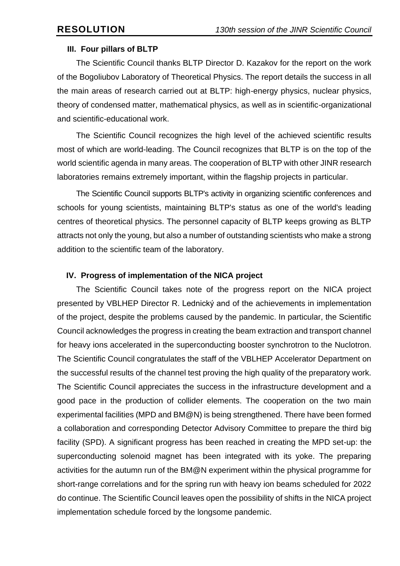#### **III. Four pillars of BLTP**

The Scientific Council thanks BLTP Director D. Kazakov for the report on the work of the Bogoliubov Laboratory of Theoretical Physics. The report details the success in all the main areas of research carried out at BLTP: high-energy physics, nuclear physics, theory of condensed matter, mathematical physics, as well as in scientific-organizational and scientific-educational work.

The Scientific Council recognizes the high level of the achieved scientific results most of which are world-leading. The Council recognizes that BLTP is on the top of the world scientific agenda in many areas. The cooperation of BLTP with other JINR research laboratories remains extremely important, within the flagship projects in particular.

The Scientific Council supports BLTP's activity in organizing scientific conferences and schools for young scientists, maintaining BLTP's status as one of the world's leading centres of theoretical physics. The personnel capacity of BLTP keeps growing as BLTP attracts not only the young, but also a number of outstanding scientists who make a strong addition to the scientific team of the laboratory.

## **IV. Progress of implementation of the NICA project**

The Scientific Council takes note of the progress report on the NICA project presented by VBLHEP Director R. Lednický and of the achievements in implementation of the project, despite the problems caused by the pandemic. In particular, the Scientific Council acknowledges the progress in creating the beam extraction and transport channel for heavy ions accelerated in the superconducting booster synchrotron to the Nuclotron. The Scientific Council congratulates the staff of the VBLHEP Accelerator Department on the successful results of the channel test proving the high quality of the preparatory work. The Scientific Council appreciates the success in the infrastructure development and a good pace in the production of collider elements. The cooperation on the two main experimental facilities (MPD and BM@N) is being strengthened. There have been formed a collaboration and corresponding Detector Advisory Committee to prepare the third big facility (SPD). A significant progress has been reached in creating the MPD set-up: the superconducting solenoid magnet has been integrated with its yoke. The preparing activities for the autumn run of the BM@N experiment within the physical programme for short-range correlations and for the spring run with heavy ion beams scheduled for 2022 do continue. The Scientific Council leaves open the possibility of shifts in the NICA project implementation schedule forced by the longsome pandemic.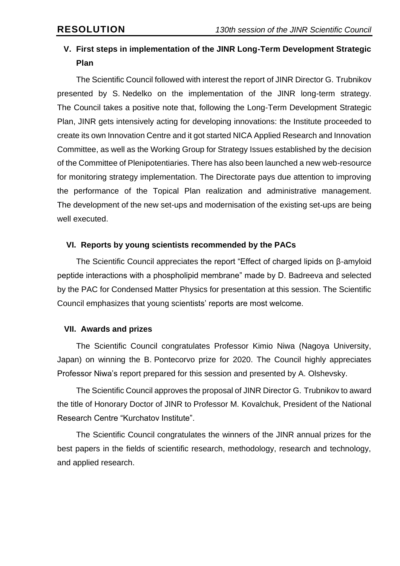# **V. First steps in implementation of the JINR Long-Term Development Strategic Plan**

The Scientific Council followed with interest the report of JINR Director G. Trubnikov presented by S. Nedelko on the implementation of the JINR long-term strategy. The Council takes a positive note that, following the Long-Term Development Strategic Plan, JINR gets intensively acting for developing innovations: the Institute proceeded to create its own Innovation Centre and it got started NICA Applied Research and Innovation Committee, as well as the Working Group for Strategy Issues established by the decision of the Committee of Plenipotentiaries. There has also been launched a new web-resource for monitoring strategy implementation. The Directorate pays due attention to improving the performance of the Topical Plan realization and administrative management. The development of the new set-ups and modernisation of the existing set-ups are being well executed.

# **VI. Reports by young scientists recommended by the PACs**

The Scientific Council appreciates the report "Effect of charged lipids on β-amyloid peptide interactions with a phospholipid membrane" made by D. Badreeva and selected by the PAC for Condensed Matter Physics for presentation at this session. The Scientific Council emphasizes that young scientists' reports are most welcome.

## **VII. Awards and prizes**

The Scientific Council congratulates Professor Kimio Niwa (Nagoya University, Japan) on winning the B. Pontecorvo prize for 2020. The Council highly appreciates Professor Niwa's report prepared for this session and presented by A. Olshevsky.

The Scientific Council approves the proposal of JINR Director G. Trubnikov to award the title of Honorary Doctor of JINR to Professor M. Kovalchuk, President of the National Research Centre "Kurchatov Institute".

The Scientific Council congratulates the winners of the JINR annual prizes for the best papers in the fields of scientific research, methodology, research and technology, and applied research.